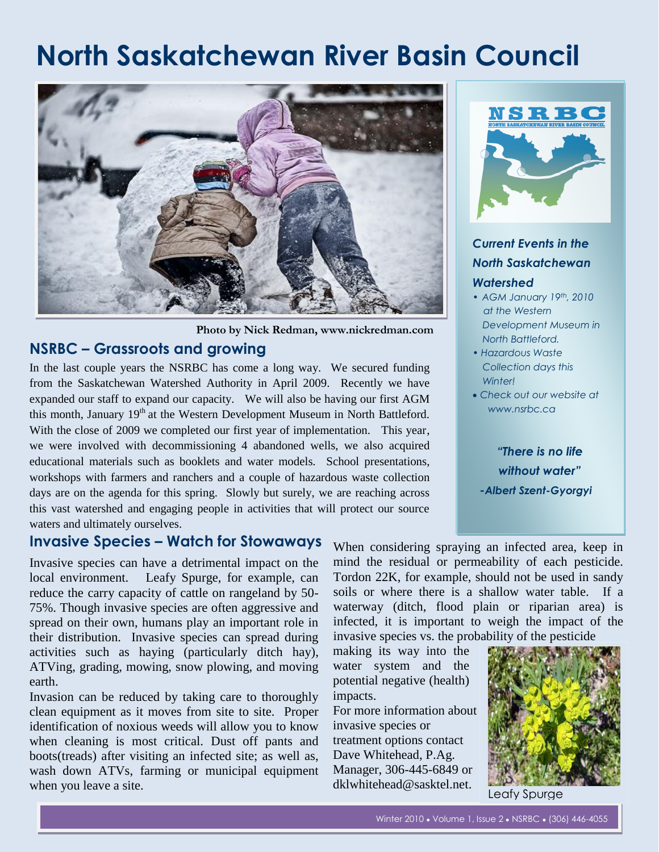# **North Saskatchewan River Basin Council**



**Photo by Nick Redman, www.nickredman.com**

# **NSRBC – Grassroots and growing**

In the last couple years the NSRBC has come a long way. We secured funding from the Saskatchewan Watershed Authority in April 2009. Recently we have expanded our staff to expand our capacity. We will also be having our first AGM this month, January  $19<sup>th</sup>$  at the Western Development Museum in North Battleford. With the close of 2009 we completed our first year of implementation. This year, we were involved with decommissioning 4 abandoned wells, we also acquired educational materials such as booklets and water models. School presentations, workshops with farmers and ranchers and a couple of hazardous waste collection days are on the agenda for this spring. Slowly but surely, we are reaching across this vast watershed and engaging people in activities that will protect our source waters and ultimately ourselves.

## **Invasive Species – Watch for Stowaways**

Invasive species can have a detrimental impact on the local environment. Leafy Spurge, for example, can reduce the carry capacity of cattle on rangeland by 50- 75%. Though invasive species are often aggressive and spread on their own, humans play an important role in their distribution. Invasive species can spread during activities such as haying (particularly ditch hay), ATVing, grading, mowing, snow plowing, and moving earth.

Invasion can be reduced by taking care to thoroughly clean equipment as it moves from site to site. Proper identification of noxious weeds will allow you to know when cleaning is most critical. Dust off pants and boots(treads) after visiting an infected site; as well as, wash down ATVs, farming or municipal equipment when you leave a site.



## *Current Events in the North Saskatchewan Watershed*

- *• AGM January 19th, 2010 at the Western Development Museum in North Battleford.*
- *Hazardous Waste Collection days this Winter!*
- *Check out our website at www.nsrbc.ca*

*"There is no life without water" -Albert Szent-Gyorgyi*

When considering spraying an infected area, keep in mind the residual or permeability of each pesticide. Tordon 22K, for example, should not be used in sandy soils or where there is a shallow water table. If a waterway (ditch, flood plain or riparian area) is infected, it is important to weigh the impact of the invasive species vs. the probability of the pesticide

making its way into the water system and the potential negative (health) impacts.

For more information about invasive species or treatment options contact Dave Whitehead, P.Ag. Manager, 306-445-6849 or dklwhitehead@sasktel.net.



Leafy Spurge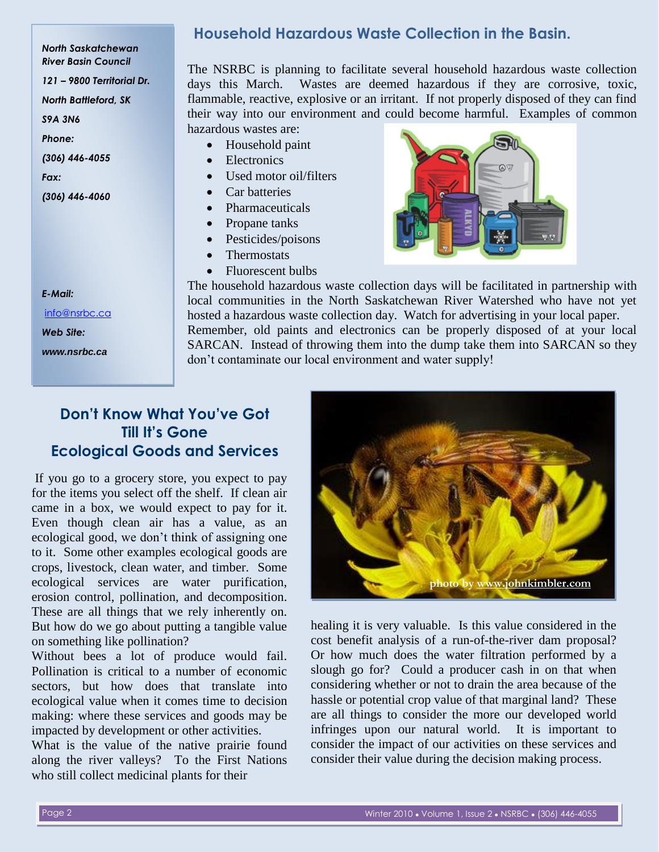*North Saskatchewan River Basin Council 121 – 9800 Territorial Dr. North Battleford, SK S9A 3N6 Phone:*

*(306) 446-4055*

*Fax:*

*(306) 446-4060*

#### **Household Hazardous Waste Collection in the Basin.**

The NSRBC is planning to facilitate several household hazardous waste collection days this March. Wastes are deemed hazardous if they are corrosive, toxic, flammable, reactive, explosive or an irritant. If not properly disposed of they can find their way into our environment and could become harmful. Examples of common hazardous wastes are:

- Household paint
- Electronics
- Used motor oil/filters
- Car batteries
- Pharmaceuticals
- Propane tanks
- Pesticides/poisons
- **Thermostats**
- Fluorescent bulbs



The household hazardous waste collection days will be facilitated in partnership with local communities in the North Saskatchewan River Watershed who have not yet hosted a hazardous waste collection day. Watch for advertising in your local paper. Remember, old paints and electronics can be properly disposed of at your local SARCAN. Instead of throwing them into the dump take them into SARCAN so they don't contaminate our local environment and water supply!

# **Don't Know What You've Got Till It's Gone Ecological Goods and Services**

If you go to a grocery store, you expect to pay for the items you select off the shelf. If clean air came in a box, we would expect to pay for it. Even though clean air has a value, as an ecological good, we don't think of assigning one to it. Some other examples ecological goods are crops, livestock, clean water, and timber. Some ecological services are water purification, erosion control, pollination, and decomposition. These are all things that we rely inherently on. But how do we go about putting a tangible value on something like pollination?

Without bees a lot of produce would fail. Pollination is critical to a number of economic sectors, but how does that translate into ecological value when it comes time to decision making: where these services and goods may be impacted by development or other activities.

What is the value of the native prairie found along the river valleys? To the First Nations who still collect medicinal plants for their



healing it is very valuable. Is this value considered in the cost benefit analysis of a run-of-the-river dam proposal? Or how much does the water filtration performed by a slough go for? Could a producer cash in on that when considering whether or not to drain the area because of the hassle or potential crop value of that marginal land? These are all things to consider the more our developed world infringes upon our natural world. It is important to consider the impact of our activities on these services and consider their value during the decision making process.

#### *E-Mail:*

#### [info@nsrbc.ca](mailto:info@nsrbc.ca) *Web Site: www.nsrbc.ca*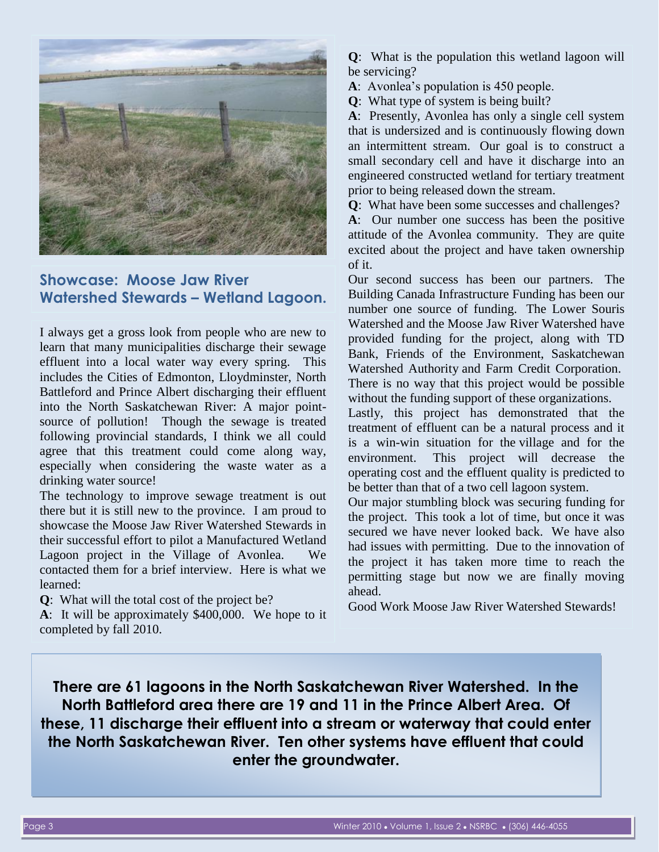

## **Showcase: Moose Jaw River Watershed Stewards – Wetland Lagoon.**

I always get a gross look from people who are new to learn that many municipalities discharge their sewage effluent into a local water way every spring. This includes the Cities of Edmonton, Lloydminster, North Battleford and Prince Albert discharging their effluent into the North Saskatchewan River: A major pointsource of pollution! Though the sewage is treated following provincial standards, I think we all could agree that this treatment could come along way, especially when considering the waste water as a drinking water source!

The technology to improve sewage treatment is out there but it is still new to the province. I am proud to showcase the Moose Jaw River Watershed Stewards in their successful effort to pilot a Manufactured Wetland Lagoon project in the Village of Avonlea. We contacted them for a brief interview. Here is what we learned:

**Q**: What will the total cost of the project be?

**A**: It will be approximately \$400,000. We hope to it completed by fall 2010.

**Q**: What is the population this wetland lagoon will be servicing?

**A**: Avonlea's population is 450 people.

**Q**: What type of system is being built?

**A**: Presently, Avonlea has only a single cell system that is undersized and is continuously flowing down an intermittent stream. Our goal is to construct a small secondary cell and have it discharge into an engineered constructed wetland for tertiary treatment prior to being released down the stream.

**Q**: What have been some successes and challenges?

**A**: Our number one success has been the positive attitude of the Avonlea community. They are quite excited about the project and have taken ownership of it.

Our second success has been our partners. The Building Canada Infrastructure Funding has been our number one source of funding. The Lower Souris Watershed and the Moose Jaw River Watershed have provided funding for the project, along with TD Bank, Friends of the Environment, Saskatchewan Watershed Authority and Farm Credit Corporation. There is no way that this project would be possible without the funding support of these organizations.

Lastly, this project has demonstrated that the treatment of effluent can be a natural process and it is a win-win situation for the village and for the environment. This project will decrease the operating cost and the effluent quality is predicted to be better than that of a two cell lagoon system.

Our major stumbling block was securing funding for the project. This took a lot of time, but once it was secured we have never looked back. We have also had issues with permitting. Due to the innovation of the project it has taken more time to reach the permitting stage but now we are finally moving ahead.

Good Work Moose Jaw River Watershed Stewards!

**There are 61 lagoons in the North Saskatchewan River Watershed. In the North Battleford area there are 19 and 11 in the Prince Albert Area. Of these, 11 discharge their effluent into a stream or waterway that could enter the North Saskatchewan River. Ten other systems have effluent that could enter the groundwater.**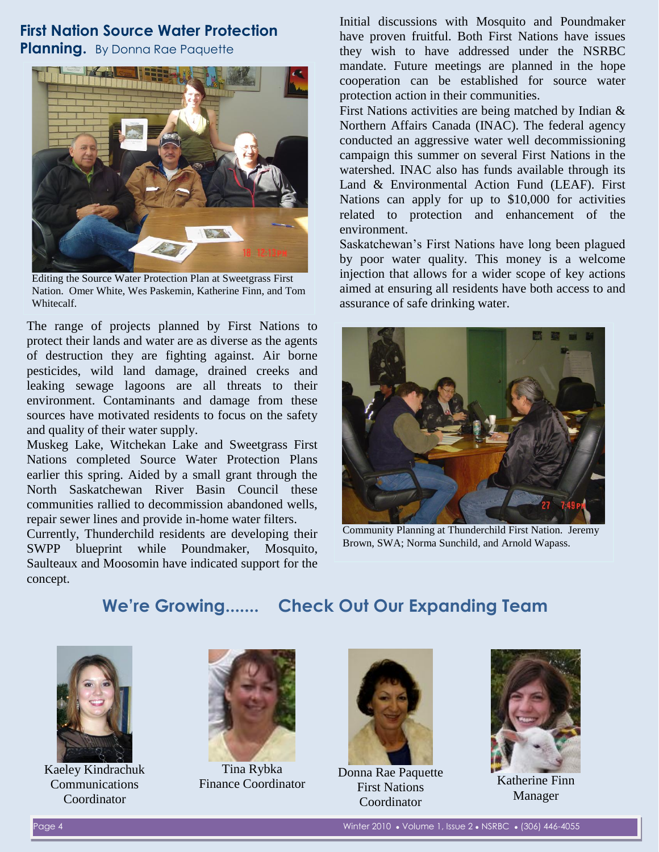# **First Nation Source Water Protection**

**Planning.** By Donna Rae Paquette



Editing the Source Water Protection Plan at Sweetgrass First Nation. Omer White, Wes Paskemin, Katherine Finn, and Tom Whitecalf.

The range of projects planned by First Nations to protect their lands and water are as diverse as the agents of destruction they are fighting against. Air borne pesticides, wild land damage, drained creeks and leaking sewage lagoons are all threats to their environment. Contaminants and damage from these sources have motivated residents to focus on the safety and quality of their water supply.

Muskeg Lake, Witchekan Lake and Sweetgrass First Nations completed Source Water Protection Plans earlier this spring. Aided by a small grant through the North Saskatchewan River Basin Council these communities rallied to decommission abandoned wells, repair sewer lines and provide in-home water filters.

Currently, Thunderchild residents are developing their SWPP blueprint while Poundmaker, Mosquito, Saulteaux and Moosomin have indicated support for the concept.

Initial discussions with Mosquito and Poundmaker have proven fruitful. Both First Nations have issues they wish to have addressed under the NSRBC mandate. Future meetings are planned in the hope cooperation can be established for source water protection action in their communities.

First Nations activities are being matched by Indian & Northern Affairs Canada (INAC). The federal agency conducted an aggressive water well decommissioning campaign this summer on several First Nations in the watershed. INAC also has funds available through its Land & Environmental Action Fund (LEAF). First Nations can apply for up to \$10,000 for activities related to protection and enhancement of the environment.

Saskatchewan's First Nations have long been plagued by poor water quality. This money is a welcome injection that allows for a wider scope of key actions aimed at ensuring all residents have both access to and assurance of safe drinking water.



Community Planning at Thunderchild First Nation. Jeremy Brown, SWA; Norma Sunchild, and Arnold Wapass.

# **We're Growing....... Check Out Our Expanding Team**



Kaeley Kindrachuk Communications Coordinator



Tina Rybka Finance Coordinator



Donna Rae Paquette First Nations Coordinator



Katherine Finn Manager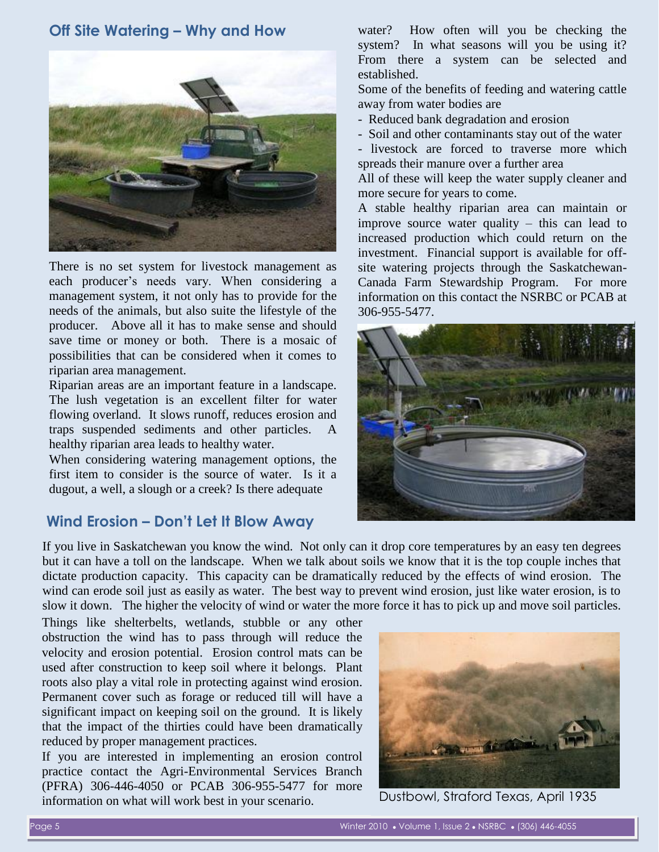#### **Off Site Watering – Why and How**



There is no set system for livestock management as each producer's needs vary. When considering a management system, it not only has to provide for the needs of the animals, but also suite the lifestyle of the producer. Above all it has to make sense and should save time or money or both. There is a mosaic of possibilities that can be considered when it comes to riparian area management.

Riparian areas are an important feature in a landscape. The lush vegetation is an excellent filter for water flowing overland. It slows runoff, reduces erosion and traps suspended sediments and other particles. A healthy riparian area leads to healthy water.

When considering watering management options, the first item to consider is the source of water. Is it a dugout, a well, a slough or a creek? Is there adequate

#### **Wind Erosion – Don't Let It Blow Away**

water? How often will you be checking the system? In what seasons will you be using it? From there a system can be selected and established.

Some of the benefits of feeding and watering cattle away from water bodies are

- Reduced bank degradation and erosion
- Soil and other contaminants stay out of the water

- livestock are forced to traverse more which spreads their manure over a further area

All of these will keep the water supply cleaner and more secure for years to come.

A stable healthy riparian area can maintain or improve source water quality – this can lead to increased production which could return on the investment. Financial support is available for offsite watering projects through the Saskatchewan-Canada Farm Stewardship Program. For more information on this contact the NSRBC or PCAB at 306-955-5477.



If you live in Saskatchewan you know the wind. Not only can it drop core temperatures by an easy ten degrees but it can have a toll on the landscape. When we talk about soils we know that it is the top couple inches that dictate production capacity. This capacity can be dramatically reduced by the effects of wind erosion. The wind can erode soil just as easily as water. The best way to prevent wind erosion, just like water erosion, is to slow it down. The higher the velocity of wind or water the more force it has to pick up and move soil particles.

Things like shelterbelts, wetlands, stubble or any other obstruction the wind has to pass through will reduce the velocity and erosion potential. Erosion control mats can be used after construction to keep soil where it belongs. Plant roots also play a vital role in protecting against wind erosion. Permanent cover such as forage or reduced till will have a significant impact on keeping soil on the ground. It is likely that the impact of the thirties could have been dramatically reduced by proper management practices.

If you are interested in implementing an erosion control practice contact the Agri-Environmental Services Branch (PFRA) 306-446-4050 or PCAB 306-955-5477 for more information on what will work best in your scenario.



Dustbowl, Straford Texas, April 1935